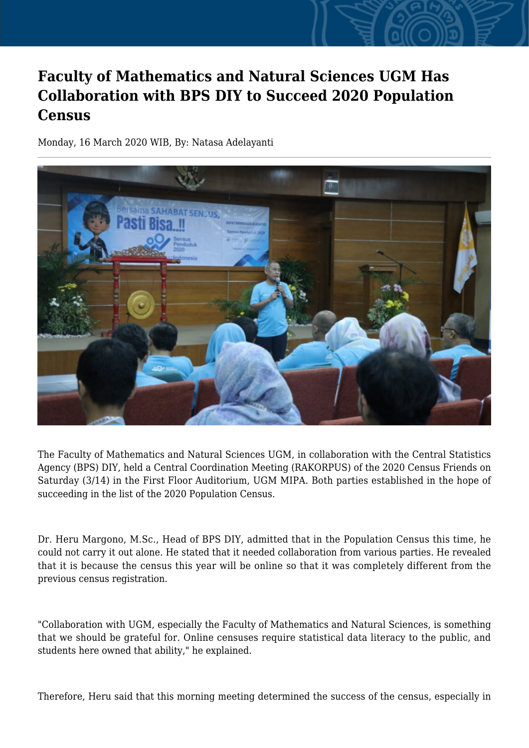## **Faculty of Mathematics and Natural Sciences UGM Has Collaboration with BPS DIY to Succeed 2020 Population Census**

Monday, 16 March 2020 WIB, By: Natasa Adelayanti



The Faculty of Mathematics and Natural Sciences UGM, in collaboration with the Central Statistics Agency (BPS) DIY, held a Central Coordination Meeting (RAKORPUS) of the 2020 Census Friends on Saturday (3/14) in the First Floor Auditorium, UGM MIPA. Both parties established in the hope of succeeding in the list of the 2020 Population Census.

Dr. Heru Margono, M.Sc., Head of BPS DIY, admitted that in the Population Census this time, he could not carry it out alone. He stated that it needed collaboration from various parties. He revealed that it is because the census this year will be online so that it was completely different from the previous census registration.

"Collaboration with UGM, especially the Faculty of Mathematics and Natural Sciences, is something that we should be grateful for. Online censuses require statistical data literacy to the public, and students here owned that ability," he explained.

Therefore, Heru said that this morning meeting determined the success of the census, especially in